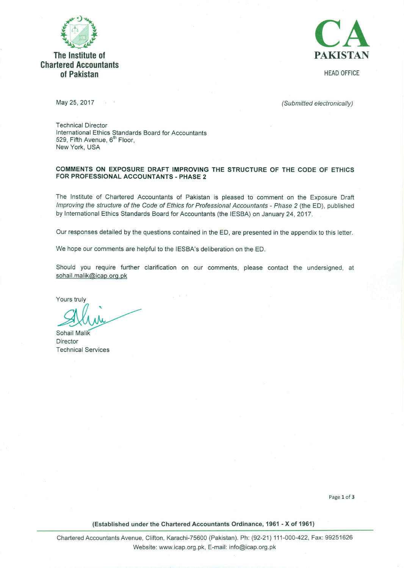

## The Institute of **Chartered Accountants** of Pakistan



**HEAD OFFICE** 

May 25, 2017

(Submitted electronically)

**Technical Director** International Ethics Standards Board for Accountants 529, Fifth Avenue, 6<sup>th</sup> Floor, New York, USA

 $\sim$   $^{-1}$ 

## COMMENTS ON EXPOSURE DRAFT IMPROVING THE STRUCTURE OF THE CODE OF ETHICS FOR PROFESSIONAL ACCOUNTANTS - PHASE 2

The Institute of Chartered Accountants of Pakistan is pleased to comment on the Exposure Draft Improving the structure of the Code of Ethics for Professional Accountants - Phase 2 (the ED), published by International Ethics Standards Board for Accountants (the IESBA) on January 24, 2017.

Our responses detailed by the questions contained in the ED, are presented in the appendix to this letter.

We hope our comments are helpful to the IESBA's deliberation on the ED.

Should you require further clarification on our comments, please contact the undersigned, at sohail.malik@icap.org.pk

Yours truly

Sohail Malik Director **Technical Services** 

Page 1 of 3

(Established under the Chartered Accountants Ordinance, 1961 - X of 1961)

Chartered Accountants Avenue, Clifton, Karachi-75600 (Pakistan). Ph: (92-21) 111-000-422, Fax: 99251626 Website: www.icap.org.pk, E-mail: info@icap.org.pk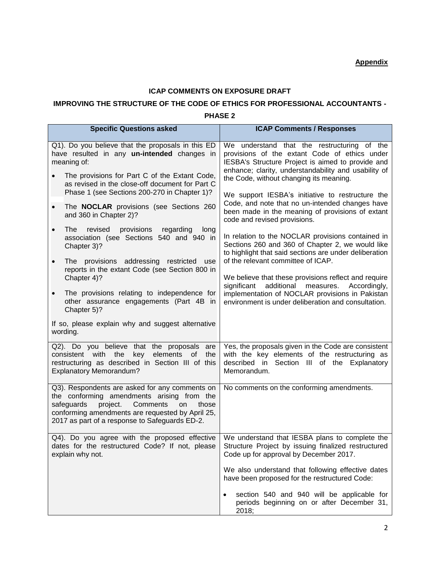## **ICAP COMMENTS ON EXPOSURE DRAFT**

## **IMPROVING THE STRUCTURE OF THE CODE OF ETHICS FOR PROFESSIONAL ACCOUNTANTS -**

**PHASE 2**

| <b>Specific Questions asked</b>                                                                                                                                                                                                                         | <b>ICAP Comments / Responses</b>                                                                                                                                                                                                                     |
|---------------------------------------------------------------------------------------------------------------------------------------------------------------------------------------------------------------------------------------------------------|------------------------------------------------------------------------------------------------------------------------------------------------------------------------------------------------------------------------------------------------------|
| Q1). Do you believe that the proposals in this ED<br>have resulted in any un-intended changes in<br>meaning of:<br>The provisions for Part C of the Extant Code,                                                                                        | We understand that the restructuring of the<br>provisions of the extant Code of ethics under<br>IESBA's Structure Project is aimed to provide and<br>enhance; clarity, understandability and usability of<br>the Code, without changing its meaning. |
| as revised in the close-off document for Part C<br>Phase 1 (see Sections 200-270 in Chapter 1)?<br>The <b>NOCLAR</b> provisions (see Sections 260<br>$\bullet$<br>and 360 in Chapter 2)?                                                                | We support IESBA's initiative to restructure the<br>Code, and note that no un-intended changes have<br>been made in the meaning of provisions of extant                                                                                              |
| <b>The</b><br>revised<br>provisions<br>regarding<br>long<br>$\bullet$<br>association (see Sections 540 and 940 in<br>Chapter 3)?                                                                                                                        | code and revised provisions.<br>In relation to the NOCLAR provisions contained in<br>Sections 260 and 360 of Chapter 2, we would like<br>to highlight that said sections are under deliberation                                                      |
| The provisions addressing restricted use<br>$\bullet$<br>reports in the extant Code (see Section 800 in<br>Chapter 4)?                                                                                                                                  | of the relevant committee of ICAP.<br>We believe that these provisions reflect and require<br>additional measures.<br>significant<br>Accordingly,                                                                                                    |
| The provisions relating to independence for<br>$\bullet$<br>other assurance engagements (Part 4B in<br>Chapter 5)?                                                                                                                                      | implementation of NOCLAR provisions in Pakistan<br>environment is under deliberation and consultation.                                                                                                                                               |
| If so, please explain why and suggest alternative<br>wording.                                                                                                                                                                                           |                                                                                                                                                                                                                                                      |
| Q2). Do you believe that the proposals are<br>consistent with the<br>key<br>elements<br>0f<br>the<br>restructuring as described in Section III of this<br><b>Explanatory Memorandum?</b>                                                                | Yes, the proposals given in the Code are consistent<br>with the key elements of the restructuring as<br>described in Section III of the Explanatory<br>Memorandum.                                                                                   |
| Q3). Respondents are asked for any comments on<br>the conforming amendments arising from the<br>safeguards<br>project.<br>Comments<br>on<br>those<br>conforming amendments are requested by April 25,<br>2017 as part of a response to Safeguards ED-2. | No comments on the conforming amendments.                                                                                                                                                                                                            |
| Q4). Do you agree with the proposed effective<br>dates for the restructured Code? If not, please<br>explain why not.                                                                                                                                    | We understand that IESBA plans to complete the<br>Structure Project by issuing finalized restructured<br>Code up for approval by December 2017.                                                                                                      |
|                                                                                                                                                                                                                                                         | We also understand that following effective dates<br>have been proposed for the restructured Code:                                                                                                                                                   |
|                                                                                                                                                                                                                                                         | section 540 and 940 will be applicable for<br>$\bullet$<br>periods beginning on or after December 31,<br>2018;                                                                                                                                       |